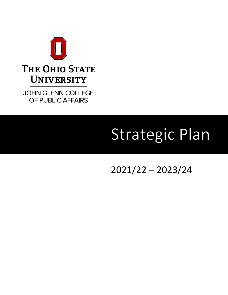

## **THE OHIO STATE UNIVERSITY**

**JOHN GLENN COLLEGE** OF PUBLIC AFFAIRS

# **Strategic Plan**

## 2021/22 – 2023/24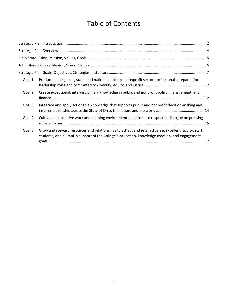## Table of Contents

| Produce leading local, state, and national public and nonprofit sector professionals prepared for<br>Goal 1:                                                                                                       |
|--------------------------------------------------------------------------------------------------------------------------------------------------------------------------------------------------------------------|
| Create exceptional, interdisciplinary knowledge in public and nonprofit policy, management, and<br>Goal 2:                                                                                                         |
| Integrate and apply actionable knowledge that supports public and nonprofit decision-making and<br>Goal 3:                                                                                                         |
| Cultivate an inclusive work and learning environment and promote respectful dialogue on pressing<br>Goal 4:                                                                                                        |
| Grow and steward resources and relationships to attract and retain diverse, excellent faculty, staff,<br>Goal 5:<br>students, and alumni in support of the College's education, knowledge creation, and engagement |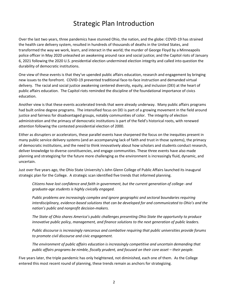## Strategic Plan Introduction

<span id="page-2-0"></span>Over the last two years, three pandemics have stunned Ohio, the nation, and the globe: COVID-19 has strained the health care delivery system, resulted in hundreds of thousands of deaths in the United States, and transformed the way we work, learn, and interact in the world; the murder of George Floyd by a Minneapolis police officer in May 2020 unleashed an awakening around race and social justice; and the Capitol riots of January 6, 2021 following the 2020 U.S. presidential election undermined election integrity and called into question the durability of democratic institutions.

One view of these events is that they've upended public affairs education, research and engagement by bringing new issues to the forefront. COVID-19 prevented traditional face-to-face instruction and demanded virtual delivery. The racial and social justice awakening centered diversity, equity, and inclusion (DEI) at the heart of public affairs education. The Capitol riots reminded the discipline of the foundational importance of civics education.

Another view is that these events accelerated trends that were already underway. Many public affairs programs had built online degree programs. The intensified focus on DEI is part of a growing movement in the field around justice and fairness for disadvantaged groups, notably communities of color. The integrity of election administration and the primacy of democratic institutions is part of the field's historical roots, with renewed attention following the contested presidential election of 2000.

Either as disrupters or accelerators, these parallel events have sharpened the focus on the inequities present in many public service delivery systems (and an accompanying lack of faith and trust in those systems), the primacy of democratic institutions, and the need to think innovatively about how scholars and students conduct research, deliver knowledge to diverse constituencies, and engage communities. These three events have also made planning and strategizing for the future more challenging as the environment is increasingly fluid, dynamic, and uncertain.

Just over five years ago, the Ohio State University's John Glenn College of Public Affairs launched its inaugural strategic plan for the College. A strategic scan identified five trends that informed planning.

*Citizens have lost confidence and faith in government, but the current generation of college- and graduate-age students is highly civically engaged.*

*Public problems are increasingly complex and ignore geographic and sectoral boundaries requiring interdisciplinary, evidence-based solutions that can be developed for and communicated to Ohio's and the nation's public and nonprofit decision-makers.*

*The State of Ohio shares America's public challenges presenting Ohio State the opportunity to produce innovative public policy, management, and finance solutions to the next generation of public leaders.*

*Public discourse is increasingly rancorous and combative requiring that public universities provide forums to promote civil discourse and civic engagement.*

*The environment of public affairs education is increasingly competitive and uncertain demanding that public affairs programs be nimble, fiscally prudent, and focused on their core asset – their people.* 

Five years later, the triple pandemic has only heightened, not diminished, each one of them. As the College entered this most recent round of planning, these trends remain as anchors for strategizing.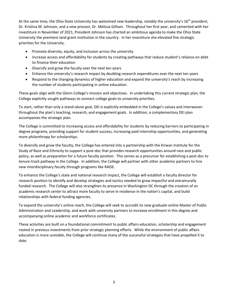At the same time, the Ohio State University has welcomed new leadership, notably the university's 16<sup>th</sup> president, Dr. Kristina M. Johnson, and a new provost, Dr. Melissa Gilliam. Throughout her first year, and cemented with her investiture in November of 2021, President Johnson has charted an ambitious agenda to make the Ohio State University the premiere land grant institution in the country. In her investiture she elevated five strategic priorities for the University.

- Promote diversity, equity, and inclusion across the university
- Increase access and affordability for students by creating pathways that reduce student's reliance on debt to finance their education
- Diversify and grow the faculty over the next ten years
- Enhance the university's research impact by doubling research expenditures over the next ten years
- Respond to the changing dynamics of higher education and expand the university's reach by increasing the number of students participating in online education.

These goals align with the Glenn College's mission and objectives. In undertaking this current strategic plan, the College explicitly sought pathways to connect college goals to university priorities.

To start, rather than only a stand-alone goal, DEI is explicitly embedded in the College's values and interwoven throughout the plan's teaching, research, and engagement goals. In addition, a complementary DEI plan accompanies the strategic plan.

The College is committed to increasing access and affordability for students by reducing barriers to participating in degree programs, providing support for student success, increasing paid internship opportunities, and generating more philanthropy for scholarships.

To diversify and grow the faculty, the College has entered into a partnership with the Kirwan Institute for the Study of Race and Ethnicity to support a post-doc that provides research opportunities around race and public policy, as well as preparation for a future faculty position. This serves as a precursor for establishing a post-doc to tenure-track pathway in the College. In addition, the College will partner with other academic partners to hire new interdisciplinary faculty through programs like RAISE.

To enhance the College's state and national research impact, the College will establish a faculty director for research position to identify and develop strategies and tactics needed to grow impactful and extramurally funded research. The College will also strengthen its presence in Washington DC through the creation of an academic research center to attract more faculty to serve in residence in the nation's capital, and build relationships with federal funding agencies.

To expand the university's online reach, the College will seek to accredit its new graduate online Master of Public Administration and Leadership, and work with university partners to increase enrollment in this degree and accompanying online academic and workforce certificates.

These activities are built on a foundational commitment to public affairs education, scholarship and engagement rooted in previous investments from prior strategic planning efforts. While the environment of public affairs education is more unstable, the College will continue many of the successful strategies that have propelled it to date.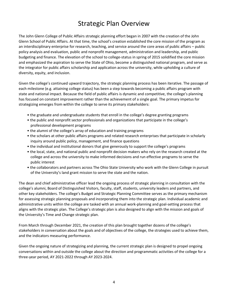## Strategic Plan Overview

<span id="page-4-0"></span>The John Glenn College of Public Affairs strategic planning effort began in 2007 with the creation of the John Glenn School of Public Affairs. At that time, the school's creation established the core mission of the program as an interdisciplinary enterprise for research, teaching, and service around the core areas of public affairs – public policy analysis and evaluation, public and nonprofit management, administration and leadership, and public budgeting and finance. The elevation of the school to college-status in spring of 2015 solidified the core mission and emphasized the aspiration to serve the State of Ohio, become a distinguished national program, and serve as the integrator for public affairs scholarship and application across the university, while upholding a culture of diversity, equity, and inclusion.

Given the college's continued upward trajectory, the strategic planning process has been iterative. The passage of each milestone (e.g. attaining college status) has been a step towards becoming a public affairs program with state and national impact. Because the field of public affairs is dynamic and competitive, the college's planning has focused on constant improvement rather than the achievement of a single goal. The primary impetus for strategizing emerges from within the college to serve its primary stakeholders:

- the graduate and undergraduate students that enroll in the college's degree granting programs
- the public and nonprofit sector professionals and organizations that participate in the college's professional development programs
- the alumni of the college's array of education and training programs
- the scholars at other public affairs programs and related research enterprises that participate in scholarly inquiry around public policy, management, and finance questions
- the individual and institutional donors that give generously to support the college's programs
- the local, state, and national public and nonprofit decision makers who rely on the research created at the college and across the university to make informed decisions and run effective programs to serve the public interest
- the collaborators and partners across The Ohio State University who work with the Glenn College in pursuit of the University's land grant mission to serve the state and the nation.

The dean and chief administrative officer lead the ongoing process of strategic planning in consultation with the college's alumni, Board of Distinguished Visitors, faculty, staff, students, university leaders and partners, and other key stakeholders. The college's Budget and Strategic Planning Committee serves as the primary mechanism for assessing strategic planning proposals and incorporating them into the strategic plan. Individual academic and administrative units within the college are tasked with an annual work-planning and goal-setting process that aligns with the strategic plan. The College's strategic plan is also designed to align with the mission and goals of the University's Time and Change strategic plan.

From March through December 2021, the creation of this plan brought together dozens of the college's stakeholders in conversation about the goals and of objectives of the college, the strategies used to achieve them, and the indicators measuring performance.

Given the ongoing nature of strategizing and planning, the current strategic plan is designed to propel ongoing conversations within and outside the college about the direction and programmatic activities of the college for a three-year period, AY 2021-2022 through AY 2023-2024.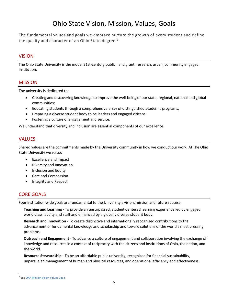## Ohio State Vision, Mission, Values, Goals

<span id="page-5-0"></span>The fundamental values and goals we embrace nurture the growth of every student and define the quality and character of an Ohio State degree. $1$ 

#### VISION

The Ohio State University is the model 21st-century public, land grant, research, urban, community engaged institution.

#### MISSION

The university is dedicated to:

- Creating and discovering knowledge to improve the well-being of our state, regional, national and global communities;
- Educating students through a comprehensive array of distinguished academic programs;
- Preparing a diverse student body to be leaders and engaged citizens;
- Fostering a culture of engagement and service.

We understand that diversity and inclusion are essential components of our excellence.

#### **VALUES**

Shared values are the commitments made by the University community in how we conduct our work. At The Ohio State University we value:

- Excellence and Impact
- Diversity and Innovation
- Inclusion and Equity
- Care and Compassion
- Integrity and Respect

#### CORE GOALS

Four institution-wide goals are fundamental to the University's vision, mission and future success:

**Teaching and Learning** - To provide an unsurpassed, student-centered learning experience led by engaged world-class faculty and staff and enhanced by a globally diverse student body.

**Research and Innovation** - To create distinctive and internationally recognized contributions to the advancement of fundamental knowledge and scholarship and toward solutions of the world's most pressing problems.

**Outreach and Engagement** - To advance a culture of engagement and collaboration involving the exchange of knowledge and resources in a context of reciprocity with the citizens and institutions of Ohio, the nation, and the world.

**Resource Stewardship** - To be an affordable public university, recognized for financial sustainability, unparalleled management of human and physical resources, and operational efficiency and effectiveness.

<sup>&</sup>lt;sup>1</sup> See **OAA Mission Vision Values Goals**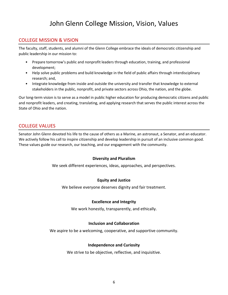## John Glenn College Mission, Vision, Values

#### <span id="page-6-0"></span>COLLEGE MISSION & VISION

The faculty, staff, students, and alumni of the Glenn College embrace the ideals of democratic citizenship and public leadership in our mission to:

- Prepare tomorrow's public and nonprofit leaders through education, training, and professional development;
- Help solve public problems and build knowledge in the field of public affairs through interdisciplinary research; and,
- Integrate knowledge from inside and outside the university and transfer that knowledge to external stakeholders in the public, nonprofit, and private sectors across Ohio, the nation, and the globe.

Our long-term vision is to serve as a model in public higher education for producing democratic citizens and public and nonprofit leaders, and creating, translating, and applying research that serves the public interest across the State of Ohio and the nation.

#### COLLEGE VALUES

Senator John Glenn devoted his life to the cause of others as a Marine, an astronaut, a Senator, and an educator. We actively follow his call to inspire citizenship and develop leadership in pursuit of an inclusive common good. These values guide our research, our teaching, and our engagement with the community.

#### **Diversity and Pluralism**

We seek different experiences, ideas, approaches, and perspectives.

#### **Equity and Justice**

We believe everyone deserves dignity and fair treatment.

#### **Excellence and Integrity**

We work honestly, transparently, and ethically.

#### **Inclusion and Collaboration**

We aspire to be a welcoming, cooperative, and supportive community.

#### **Independence and Curiosity**

We strive to be objective, reflective, and inquisitive.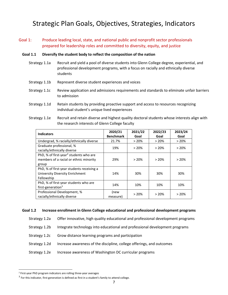## <span id="page-7-0"></span>Strategic Plan Goals, Objectives, Strategies, Indicators

#### <span id="page-7-1"></span>Goal 1: Produce leading local, state, and national public and nonprofit sector professionals prepared for leadership roles and committed to diversity, equity, and justice

#### **Goal 1.1 Diversify the student body to reflect the composition of the nation**

- Strategy 1.1a Recruit and yield a pool of diverse students into Glenn College degree, experiential, and professional development programs, with a focus on racially and ethnically diverse students
- Strategy 1.1b Represent diverse student experiences and voices
- Strategy 1.1c Review application and admissions requirements and standards to eliminate unfair barriers to admission
- Strategy 1.1d Retain students by providing proactive support and access to resources recognizing individual student's unique lived experiences
- Strategy 1.1e Recruit and retain diverse and highest quality doctoral students whose interests align with the research interests of Glenn College faculty

| <b>Indicators</b>                                                                                     | 2020/21<br><b>Benchmark</b> | 2021/22<br>Goal | 2022/23<br>Goal | 2023/24<br>Goal |
|-------------------------------------------------------------------------------------------------------|-----------------------------|-----------------|-----------------|-----------------|
| Undergrad, % racially/ethnically diverse                                                              | 21.7%                       | >20%            | > 20%           | >20%            |
| Graduate professional, %<br>racially/ethnically diverse                                               | 19%                         | >20%            | >20%            | >20%            |
| PhD, % of first-year <sup>2</sup> students who are<br>members of a racial or ethnic minority<br>group | 29%                         | >20%            | >20%            | >20%            |
| PhD, % of first-year students receiving a<br>University Diversity Enrichment<br>Fellowship            | 14%                         | 30%             | 30%             | 30%             |
| PhD, % of first-year students who are<br>first-generation <sup>3</sup>                                | 14%                         | 10%             | 10%             | 10%             |
| Professional Development, %<br>racially/ethnically diverse                                            | (new<br>measure)            | $>20\%$         | >20%            | >20%            |

#### **Goal 1.2 Increase enrollment in Glenn College educational and professional development programs**

Strategy 1.2a Offer innovative, high quality educational and professional development programs

- Strategy 1.2b Integrate technology into educational and professional development programs
- Strategy 1.2c Grow distance learning programs and participation
- Strategy 1.2d Increase awareness of the discipline, college offerings, and outcomes
- Strategy 1.2e Increase awareness of Washington DC curricular programs

<sup>2</sup> First-year PhD program indicators are rolling three-year averages

 $3$  For this indicator, first generation is defined as first in a student's family to attend college.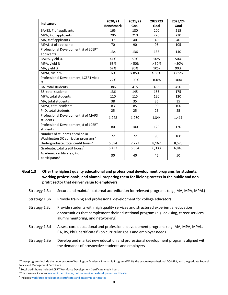| <b>Indicators</b>                                        | 2020/21          | 2021/22 | 2022/23 | 2023/24 |
|----------------------------------------------------------|------------------|---------|---------|---------|
|                                                          | <b>Benchmark</b> | Goal    | Goal    | Goal    |
| BA/BS, # of applicants                                   | 165              | 180     | 200     | 215     |
| MPA, # of applicants                                     | 206              | 210     | 220     | 230     |
| MA, # of applicants                                      | 37               | 40      | 40      | 40      |
| MPAL, # of applicants                                    | 70               | 90      | 95      | 105     |
| Professional Development, # of LCERT                     | 134              | 136     | 138     | 140     |
| applicants                                               |                  |         |         |         |
| BA/BS, yield %                                           | 44%              | 50%     | 50%     | 50%     |
| MPA, yield %                                             | 63%              | > 50%   | > 50%   | > 50%   |
| MA, yield %                                              | 67%              | 90%     | 90%     | 90%     |
| MPAL, yield %                                            | 97%              | > 85%   | >85%    | >85%    |
| Professional Development, LCERT yield                    | 72%              | 100%    | 100%    | 100%    |
| %                                                        |                  |         |         |         |
| BA, total students                                       | 386              | 415     | 435     | 450     |
| BS, total students                                       | 136              | 145     | 155     | 175     |
| MPA, total students                                      | 110              | 115     | 120     | 120     |
| MA, total students                                       | 38               | 35      | 35      | 35      |
| MPAL, total students                                     | 83               | 85      | 90      | 100     |
| PhD, total students                                      | 25               | 25      | 25      | 25      |
| Professional Development, # of MAPS                      | 1,248            | 1,280   | 1,344   | 1,411   |
| students                                                 |                  |         |         |         |
| Professional Development, # of LCERT                     | 80               | 100     | 120     | 120     |
| students                                                 |                  |         |         |         |
| Number of students enrolled in                           | 72               | 72      | 95      | 100     |
| Washington DC curricular programs <sup>4</sup>           |                  |         |         |         |
| Undergraduate, total credit hours <sup>5</sup>           | 6,694            | 7,773   | 8,162   | 8,570   |
| Graduate, total credit hours <sup>5</sup>                | 5,437            | 5,864   | 6,333   | 6,840   |
| Academic certificates, # of<br>participants <sup>6</sup> | 30               | 40      | 45      | 50      |

**Goal 1.3 Offer the highest quality educational and professional development programs for students, working professionals, and alumni, preparing them for lifelong careers in the public and nonprofit sector that deliver value to employers** 

- Strategy 1.3a Secure and maintain external accreditation for relevant programs (e.g., MA, MPA, MPAL)
- Strategy 1.3b Provide training and professional development for college educators
- Strategy 1.3c Provide students with high quality services and structured experiential education opportunities that complement their educational program (e.g. advising, career services, alumni mentoring, and networking)
- Strategy 1.3d Assess core educational and professional development programs (e.g. MA, MPA, MPAL, BA, BS, PhD, certificates<sup>7</sup>) on curricular goals and employer needs
- Strategy 1.3e Develop and market new education and professional development programs aligned with the demands of prospective students and employers

<sup>4</sup> These programs include the undergraduate Washington Academic Internship Program (WAIP), the graduate professional DC-MPA, and the graduate Federal Policy and Management Certificate.

<sup>&</sup>lt;sup>5</sup> Total credit hours include LCERT Workforce Development Certificate credit hours

<sup>6</sup> This measure include[s academic certificates, but not workforce development certificates](https://registrar.osu.edu/certificates/index.html)

<sup>&</sup>lt;sup>7</sup> Include[s workforce development certificates and academic certificates](https://registrar.osu.edu/certificates/index.html)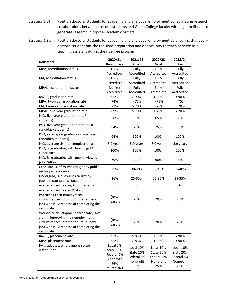- Strategy 1.3f Position doctoral students for academic and analytical employment by facilitating research collaborations between doctoral students and Glenn College faculty with high likelihood to generate research in top-tier academic outlets
- Strategy 1.3g Position doctoral students for academic and analytical employment by ensuring that every doctoral student has the required preparation and opportunity to teach or serve as a teaching assistant during their degree program

| <b>Indicators</b>                                             | 2020/21          | 2021/22    | 2022/23    | 2023/24    |
|---------------------------------------------------------------|------------------|------------|------------|------------|
|                                                               | <b>Benchmark</b> | Goal       | Goal       | Goal       |
| MPA, accreditation status                                     | Fully            | Fully      | Fully      | Fully      |
|                                                               | Accredited       | Accredited | Accredited | Accredited |
| MA, accreditation status                                      | Fully            | Fully      | Fully      | Fully      |
|                                                               | Accredited       | Accredited | Accredited | Accredited |
| MPAL, accreditation status                                    | Not Yet          | Fully      | Fully      | Fully      |
|                                                               | Accredited       | Accredited | Accredited | Accredited |
| BA/BS, graduation rate                                        | 95%              | > 90%      | > 90%      | > 90%      |
| MPA, two-year graduation rate                                 | 74%              | >75%       | >75%       | >75%       |
| MA, two-year graduation rate                                  | 71%              | >70%       | >70%       | >70%       |
| MPAL, two-year graduation rate                                | 89%              | >70%       | >70%       | >70%       |
| PhD, five-year graduation rate <sup>8</sup> (all<br>students) | 58%              | 65%        | 65%        | 65%        |
| PhD, five-year graduation rate (post-                         |                  |            |            |            |
| candidacy students)                                           | 64%              | 75%        | 75%        | 75%        |
| PhD, seven-year graduation rate (post-                        | 64%              | 100%       | 100%       | 100%       |
| candidacy students)                                           |                  |            |            |            |
| PhD, average time to complete degree                          | 5.7 years        | 5.0 years  | 5.0 years  | 5.0 years  |
| PhD, % graduating with teaching/TA<br>experience              | 100%             | 100%       | 100%       | 100%       |
| PhD, % graduating with peer-reviewed                          | 70%              | 90%        | 90%        | 90%        |
| publication                                                   |                  |            |            |            |
| Graduate, % of courses taught by public                       | 35%              | 30-40%     | 30-40%     | 30-40%     |
| sector professionals                                          |                  |            |            |            |
| Undergrad, % of courses taught by                             | 26%              | 25-35%     | 25-35%     | 25-35%     |
| public sector professionals                                   |                  |            |            |            |
| Academic certificates, # of programs                          | 3                | 4          | 5          | 6          |
| Academic certificate, % of alumni                             |                  |            |            |            |
| improving their employment                                    | (new             |            |            |            |
| circumstances (promotion, raise, new                          | measure)         | 20%        | 20%        | 20%        |
| job) within 12 months of completing the                       |                  |            |            |            |
| certificate                                                   |                  |            |            |            |
| Workforce development certificate, % of                       |                  |            |            |            |
| alumni improving their employment                             | (new             |            |            |            |
| circumstances (promotion, raise, new                          | measure)         | 20%        | 20%        | 20%        |
| job) within 12 months of completing the                       |                  |            |            |            |
| certificate                                                   |                  |            |            |            |
| BA/BS, placement rate                                         | 91%              | >85%       | > 90%      | > 90%      |
| MPA, placement rate                                           | 95%              | >85%       | > 90%      | > 90%      |
| BA graduates, employment sector                               | Local 2%         | Local 10%  | Local 10%  | Local 10%  |
| distribution                                                  | State 16%        | State 20%  | State 20%  | State 20%  |
|                                                               | Federal 6%       | Federal 5% | Federal 5% | Federal 5% |
|                                                               | Nonprofit        | Nonprofit  | Nonprofit  | Nonprofit  |
|                                                               | 26%              | 25%        | 25%        | 25%        |
|                                                               | Private 36%      |            |            |            |

<sup>8</sup> PhD graduation rates are three-year rolling averages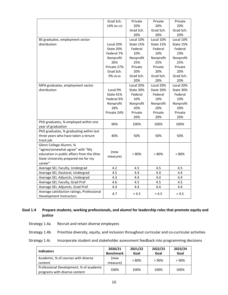|                                                                       | Grad Sch.   | Private   | Private   | Private   |
|-----------------------------------------------------------------------|-------------|-----------|-----------|-----------|
|                                                                       | 14% (N=13)  | 20%       | 20%       | 20%       |
|                                                                       |             | Grad Sch. | Grad Sch. | Grad Sch. |
|                                                                       |             | 20%       | 20%       | 20%       |
| BS graduates, employment sector                                       |             | Local 10% | Local 10% | Local 10% |
| distribution                                                          | Local 20%   | State 15% | State 15% | State 15% |
|                                                                       | State 20%   | Federal   | Federal   | Federal   |
|                                                                       | Federal 7%  | 10%       | 10%       | 10%       |
|                                                                       | Nonprofit   | Nonprofit | Nonprofit | Nonprofit |
|                                                                       | 26%         | 25%       | 25%       | 25%       |
|                                                                       | Private 27% | Private   | Private   | Private   |
|                                                                       | Grad Sch.   | 20%       | 20%       | 20%       |
|                                                                       | $0\%$ (N=6) | Grad Sch. | Grad Sch. | Grad Sch. |
|                                                                       |             | 20%       | 20%       | 20%       |
| MPA graduates, employment sector                                      |             | Local 20% | Local 20% | Local 20% |
| distribution                                                          | Local 9%    | State 30% | State 30% | State 30% |
|                                                                       | State 41%   | Federal   | Federal   | Federal   |
|                                                                       | Federal 9%  | 10%       | 10%       | 10%       |
|                                                                       | Nonprofit   | Nonprofit | Nonprofit | Nonprofit |
|                                                                       | 18%         | 20%       | 20%       | 20%       |
|                                                                       | Private 24% | Private   | Private   | Private   |
|                                                                       |             | 20%       | 20%       | 20%       |
| PhD graduates, % employed within one                                  |             |           |           |           |
| year of graduation                                                    | 90%         | 100%      | 100%      | 100%      |
| PhD graduates, % graduating within last                               |             |           |           |           |
| three years who have taken a tenure                                   | 40%         | 50%       | 50%       | 50%       |
| track job                                                             |             |           |           |           |
| Glenn College Alumni, %                                               |             |           |           |           |
| "agree/somewhat agree" with "My                                       |             |           |           |           |
| education in public affairs from the Ohio                             | (new        | > 80%     | > 80%     | > 80%     |
| State University prepared me for my                                   | measure)    |           |           |           |
| career"                                                               |             |           |           |           |
| Average SEI, Faculty, Undergrad                                       | 4.2         | 4.5       | 4.5       | 4.5       |
| Average SEI, Doctoral, Undergrad                                      | 4.5         | 4.4       | 4.4       | 4.4       |
| Average SEI, Adjuncts, Undergrad                                      | 4.3         | 4.4       | 4.4       | 4.4       |
| Average SEI, Faculty, Grad Prof                                       | 4.6         | 4.5       | 4.5       | 4.5       |
| Average SEI, Adjuncts, Grad Prof                                      | 4.4         | 4.4       | 4.4       | 4.4       |
| Average satisfaction ratings, Professional<br>Development Instructors | 4.7         | > 4.5     | > 4.5     | > 4.5     |

#### **Goal 1.4 Prepare students, working professionals, and alumni for leadership roles that promote equity and justice**

Strategy 1.4a Recruit and retain diverse employees

Strategy 1.4b Prioritize diversity, equity, and inclusion throughout curricular and co-curricular activities

Strategy 1.4c Incorporate student and stakeholder assessment feedback into programming decisions

| <b>Indicators</b>                                                        | 2020/21<br><b>Benchmark</b> | 2021/22<br>Goal | 2022/23<br>Goal | 2023/24<br>Goal |
|--------------------------------------------------------------------------|-----------------------------|-----------------|-----------------|-----------------|
| Academic, % of courses with diverse<br>content                           | (new<br>measure)            | >80%            | >90%            | $> 90\%$        |
| Professional Development, % of academic<br>programs with diverse content | 100%                        | 100%            | 100%            | 100%            |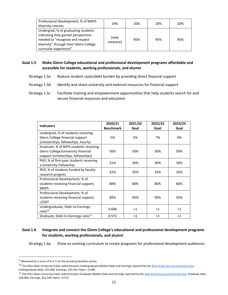| Professional Development, % of MAPS<br>diversity courses                                                                                                                                       | 19%              | 20% | 20% | 20% |
|------------------------------------------------------------------------------------------------------------------------------------------------------------------------------------------------|------------------|-----|-----|-----|
| Undergrad, % of graduating students<br>indicating they gained perspectives<br>needed to "recognize and respect<br>diversity" through their Glenn College<br>curricular experience <sup>9</sup> | new!<br>measure) | 95% | 95% | 95% |

#### **Goal 1.5 Make Glenn College educational and professional development programs affordable and accessible for students, working professionals, and alumni**

- Strategy 1.5a Reduce student costs/debt burden by providing direct financial support
- Strategy 1.5b Identify and share university and external resources for financial support
- Strategy 1.5c Facilitate training and empowerment opportunities that help students search for and secure financial resources and education

| <b>Indicators</b>                              | 2020/21<br><b>Benchmark</b> | 2021/22<br>Goal | 2022/23<br>Goal | 2023/24<br>Goal |
|------------------------------------------------|-----------------------------|-----------------|-----------------|-----------------|
| Undergrad, % of students receiving             |                             |                 |                 |                 |
| Glenn College financial support                | 5%                          | 5%              | 7%              | 9%              |
| (scholarships, fellowships, hourly)            |                             |                 |                 |                 |
| Graduate, % of MPA students receiving          |                             |                 |                 |                 |
| Glenn College/University financial             | 56%                         | 50%             | 50%             | 50%             |
| support (scholarships, fellowships)            |                             |                 |                 |                 |
| PhD, % of first-year students receiving        | 21%                         | 30%             | 30%             | 30%             |
| a University Fellowship                        |                             |                 |                 |                 |
| PhD, % of students funded by faculty           | 32%                         | 35%             | 35%             | 35%             |
| research projects                              |                             |                 |                 |                 |
| Professional Development, % of                 |                             |                 |                 |                 |
| students receiving financial support,          | 88%                         | 80%             | 80%             | 80%             |
| <b>MAPS</b>                                    |                             |                 |                 |                 |
| Professional Development, % of                 |                             |                 |                 |                 |
| students receiving financial support,          | 89%                         | 95%             | 95%             | 95%             |
| <b>LCERT</b>                                   |                             |                 |                 |                 |
| Undergraduate, Debt-to-Earnings                | 0.696                       | $<$ 1           | $<$ 1           | $<$ 1           |
| ratio <sup>10</sup>                            |                             |                 |                 |                 |
| Graduate, Debt-to-Earnings ratio <sup>11</sup> | 0.571                       | $<$ 1           | $<$ 1           | $\leq$ 1        |

#### **Goal 1.6 Integrate and connect the Glenn College's educational and professional development programs for students, working professionals, and alumni**

Strategy 1.6a Draw on existing curriculum to create programs for professional development audiences

 $9$  Measured by a score of 4 or 5 on the annual graduation survey

<sup>&</sup>lt;sup>10</sup> The Ohio State University Public Administration Undergraduate Median Debt and Earnings reported by th[e Wall Street Journal interactive tool.](https://www.wsj.com/articles/financially-hobbled-for-life-the-elite-masters-degrees-that-dont-pay-off-11625752773) Undergraduate debt, \$25,000. Earnings, \$35,914. Ratio = 0.696

<sup>&</sup>lt;sup>11</sup> The Ohio State University Public Administration Graduate Median Debt and Earnings reported by th[e Wall Street Journal interactive tool.](https://www.wsj.com/articles/financially-hobbled-for-life-the-elite-masters-degrees-that-dont-pay-off-11625752773) Graduate debt, \$30,000. Earnings, \$52,549. Ratio = 0.571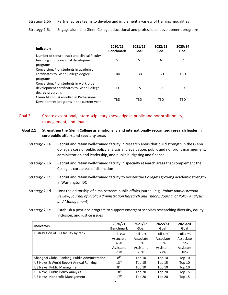#### Strategy 1.6b Partner across teams to develop and implement a variety of training modalities

Strategy 1.6c Engage alumni in Glenn College educational and professional development programs

| <b>Indicators</b>                                                                                      | 2020/21<br><b>Benchmark</b> | 2021/22<br>Goal | 2022/23<br>Goal | 2023/24<br>Goal |
|--------------------------------------------------------------------------------------------------------|-----------------------------|-----------------|-----------------|-----------------|
| Number of tenure-track and clinical faculty<br>teaching in professional development<br>programs        | 5                           | 5               | 6               | 7               |
| Conversion, # of students in academic<br>certificates to Glenn College degree<br>programs              | TBD                         | <b>TBD</b>      | TBD             | TBD             |
| Conversion, # of students in workforce<br>development certificates to Glenn College<br>degree programs | 13                          | 15              | 17              | 19              |
| Glenn Alumni, # enrolled in Professional<br>Development programs in the current year                   | TBD                         | TBD             | TBD             | TBD             |

#### <span id="page-12-0"></span>Goal 2: Create exceptional, interdisciplinary knowledge in public and nonprofit policy, management, and finance

#### **Goal 2.1 Strengthen the Glenn College as a nationally and internationally recognized research leader in core public affairs and specialty areas**

- Strategy 2.1a Recruit and retain well-trained faculty in research areas that build strength in the Glenn College's core of public policy analysis and evaluation, public and nonprofit management, administration and leadership, and public budgeting and finance
- Strategy 2.1b Recruit and retain well-trained faculty in specialty research areas that complement the College's core areas of distinction
- Strategy 2.1c Recruit and retain well-trained faculty to bolster the College's growing academic strength in Washington DC
- Strategy 2.1d Host the editorship of a mainstream public affairs journal (e.g., *Public Administration Review, Journal of Public Administration Research and Theory, Journal of Policy Analysis and Management*)
- Strategy 2.1e Establish a post-doc program to support emergent scholars researching diversity, equity, inclusion, and justice issues

| <b>Indicators</b>                              | 2020/21<br><b>Benchmark</b>                             | 2021/22<br>Goal                                         | 2022/23<br>Goal                                         | 2023/24<br>Goal                                         |
|------------------------------------------------|---------------------------------------------------------|---------------------------------------------------------|---------------------------------------------------------|---------------------------------------------------------|
| Distribution of TIU faculty by rank            | <b>Full 35%</b><br>Associate<br>45%<br>Assistant<br>20% | <b>Full 39%</b><br>Associate<br>35%<br>Assistant<br>26% | <b>Full 43%</b><br>Associate<br>35%<br>Assistant<br>22% | <b>Full 43%</b><br>Associate<br>39%<br>Assistant<br>18% |
| Shanghai Global Ranking, Public Administration | 8 <sup>th</sup>                                         | Top $10$                                                | Top $10$                                                | Top 10                                                  |
| US News & World Report Annual Ranking          | 13 <sup>th</sup>                                        | Top $15$                                                | Top $15$                                                | Top <sub>10</sub>                                       |
| US News, Public Management                     | 8 <sup>th</sup>                                         | Top $10$                                                | Top $10$                                                | Top <sub>10</sub>                                       |
| US News, Public Policy Analysis                | 18 <sup>th</sup>                                        | Top 20                                                  | Top $20$                                                | Top $15$                                                |
| US News, Nonprofit Management                  | 17 <sup>th</sup>                                        | Top 20                                                  | Top 20                                                  | Top $15$                                                |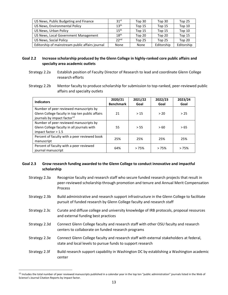| US News, Public Budgeting and Finance           | 31 <sup>st</sup> | Top 30   | Top 30     | Top 25     |
|-------------------------------------------------|------------------|----------|------------|------------|
| US News, Environmental Policy                   | 13 <sup>th</sup> | Top $15$ | Top $15$   | Top $10$   |
| US News, Urban Policy                           | 15 <sup>th</sup> | Top 15   | Top $15$   | Top 10     |
| US News, Local Government Management            | 18 <sup>th</sup> | Top 20   | Top 20     | Top $15$   |
| US News, Social Policy                          | 22 <sup>nd</sup> | Top $25$ | Top 25     | Top 20     |
| Editorship of mainstream public affairs journal | None             | None     | Editorship | Editorship |

#### **Goal 2.2 Increase scholarship produced by the Glenn College in highly-ranked core public affairs and specialty area academic outlets**

- Strategy 2.2a Establish position of Faculty Director of Research to lead and coordinate Glenn College research efforts
- Strategy 2.2b Mentor faculty to produce scholarship for submission to top-ranked, peer-reviewed public affairs and specialty outlets

| <b>Indicators</b>                                                                                                                    | 2020/21<br><b>Benchmark</b> | 2021/22<br>Goal | 2022/23<br>Goal | 2023/24<br>Goal |
|--------------------------------------------------------------------------------------------------------------------------------------|-----------------------------|-----------------|-----------------|-----------------|
| Number of peer reviewed manuscripts by<br>Glenn College faculty in top ten public affairs<br>journals by impact factor <sup>12</sup> | 21                          | >15             | > 20            | > 25            |
| Number of peer reviewed manuscripts by<br>Glenn College faculty in all journals with<br>impact factor $> 1.5$                        | 55                          | > 55            | >60             | > 65            |
| Percent of faculty with a peer reviewed book<br>manuscript                                                                           | 25%                         | 25%             | 25%             | 25%             |
| Percent of faculty with a peer reviewed<br>journal manuscript                                                                        | 64%                         | >75%            | >75%            | >75%            |

#### **Goal 2.3 Grow research funding awarded to the Glenn College to conduct innovative and impactful scholarship**

- Strategy 2.3a Recognize faculty and research staff who secure funded research projects that result in peer-reviewed scholarship through promotion and tenure and Annual Merit Compensation Process
- Strategy 2.3b Build administrative and research support infrastructure in the Glenn College to facilitate pursuit of funded research by Glenn College faculty and research staff
- Strategy 2.3c Curate and diffuse college and university knowledge of IRB protocols, proposal resources and external funding best practices
- Strategy 2.3d Connect Glenn College faculty and research staff with other OSU faculty and research centers to collaborate on funded research programs
- Strategy 2.3e Connect Glenn College faculty and research staff with external stakeholders at federal, state and local levels to pursue funds to support research
- Strategy 2.3f Build research support capability in Washington DC by establishing a Washington academic center

<sup>&</sup>lt;sup>12</sup> Includes the total number of peer reviewed manuscripts published in a calendar year in the top ten "public administration" journals listed in the Web of Science's Journal Citation Reports by impact factor.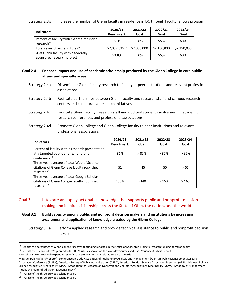#### Strategy 2.3g Increase the number of Glenn faculty in residence in DC through faculty fellows program

| <b>Indicators</b>                                                   | 2020/21          | 2021/22     | 2022/23     | 2023/24     |
|---------------------------------------------------------------------|------------------|-------------|-------------|-------------|
|                                                                     | <b>Benchmark</b> | Goal        | Goal        | Goal        |
| Percent of faculty with externally funded<br>research <sup>13</sup> | 60%              | 50%         | 55%         | 60%         |
| Total research expenditures <sup>14</sup>                           | \$2,037,83515    | \$2,000,000 | \$2,100,000 | \$2,250,000 |
| % of Glenn faculty with a federally<br>sponsored research project   | 53.8%            | 50%         | 55%         | 60%         |

#### **Goal 2.4 Enhance impact and use of academic scholarship produced by the Glenn College in core public affairs and specialty areas**

- Strategy 2.4a Disseminate Glenn faculty research to faculty at peer institutions and relevant professional associations
- Strategy 2.4b Facilitate partnerships between Glenn faculty and research staff and campus research centers and collaborative research initiatives
- Strategy 2.4c Facilitate Glenn faculty, research staff and doctoral student involvement in academic research conferences and professional associations
- Strategy 2.4d Promote Glenn College and Glenn College faculty to peer institutions and relevant professional associations

| <b>Indicators</b>                                                                                                     | 2020/21<br><b>Benchmark</b> | 2021/22<br>Goal | 2022/23<br>Goal | 2023/24<br>Goal |
|-----------------------------------------------------------------------------------------------------------------------|-----------------------------|-----------------|-----------------|-----------------|
| Percent of faculty with a research presentation<br>at a targeted public affairs/nonprofit<br>conference <sup>16</sup> | 81%                         | >85%            | >85%            | >85%            |
| Three-year average of total Web of Science<br>citations of Glenn College faculty published<br>research <sup>17</sup>  | 51                          | >45             | > 50            | > 55            |
| Three-year average of total Google Scholar<br>citations of Glenn College faculty published<br>research <sup>18</sup>  | 156.8                       | >140            | >150            | >160            |

#### <span id="page-14-0"></span>Goal 3: Integrate and apply actionable knowledge that supports public and nonprofit decisionmaking and inspires citizenship across the State of Ohio, the nation, and the world

#### **Goal 3.1 Build capacity among public and nonprofit decision makers and institutions by increasing awareness and application of knowledge created by the Glenn College**

Strategy 3.1a Perform applied research and provide technical assistance to public and nonprofit decision makers

<sup>&</sup>lt;sup>13</sup> Reports the percentage of Glenn College faculty with funding reported in the Office of Sponsored Projects research funding portal annually

<sup>&</sup>lt;sup>14</sup> Reports the Glenn College's yearend total FD520 uses as shown on the Workday Sources and Uses Variance Analysis Report.

<sup>15</sup> Fiscal Year 2021 research expenditures reflect one-time COVID-19 related research awards

<sup>&</sup>lt;sup>16</sup> Target public affairs/nonprofit conferences include Association of Public Policy Analysis and Management (APPAM), Public Management Research Association Conference (PMRA), American Society of Public Administration (ASPA), American Political Science Association Meetings (APSA), Midwest Political Science Association Meetings (MWPSA), Association for Research on Nonprofit and Voluntary Associations Meetings (ARNOVA), Academy of Management (Public and Nonprofit division) Meetings (AOM)

<sup>&</sup>lt;sup>17</sup> Average of the three previous calendar years

<sup>&</sup>lt;sup>18</sup> Average of the three previous calendar years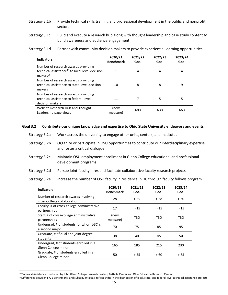- Strategy 3.1b Provide technical skills training and professional development in the public and nonprofit sectors
- Strategy 3.1c Build and execute a research hub along with thought leadership and case study content to build awareness and audience engagement

Strategy 3.1d Partner with community decision makers to provide experiential learning opportunities

| <b>Indicators</b>                                                                                                         | 2020/21<br><b>Benchmark</b> | 2021/22<br>Goal | 2022/23<br>Goal | 2023/24<br>Goal |
|---------------------------------------------------------------------------------------------------------------------------|-----------------------------|-----------------|-----------------|-----------------|
| Number of research awards providing<br>technical assistance <sup>19</sup> to local-level decision<br>makers <sup>20</sup> |                             | 4               | 4               | 4               |
| Number of research awards providing<br>technical assistance to state-level decision<br>makers                             | 10                          | 8               | 8               | 9               |
| Number of research awards providing<br>technical assistance to federal-level<br>decision makers                           | 11                          | 7               | 5               | 5               |
| Website Research Hub and Thought<br>Leadership page views                                                                 | (new<br>measure)            | 600             | 630             | 660             |

#### **Goal 3.2 Contribute our unique knowledge and expertise to Ohio State University endeavors and events**

- Strategy 3.2a Work across the university to engage other units, centers, and institutes
- Strategy 3.2b Organize or participate in OSU opportunities to contribute our interdisciplinary expertise and foster a critical dialogue
- Strategy 3.2c Maintain OSU employment enrollment in Glenn College educational and professional development programs
- Strategy 3.2d Pursue joint faculty hires and facilitate collaborative faculty research projects

Strategy 3.2e Increase the number of OSU faculty in residence in DC through faculty fellows program

| <b>Indicators</b>                                                  | 2020/21<br><b>Benchmark</b> | 2021/22<br>Goal | 2022/23<br>Goal | 2023/24<br>Goal |
|--------------------------------------------------------------------|-----------------------------|-----------------|-----------------|-----------------|
| Number of research awards involving<br>cross-college collaboration | 28                          | > 25            | > 28            | > 30            |
| Faculty, # of cross-college administrative<br>partnerships         | 17                          | >15             | >15             | >15             |
| Staff, # of cross-college administrative<br>partnerships           | (new<br>measure)            | <b>TBD</b>      | TBD             | TBD             |
| Undergrad, # of students for whom JGC is<br>a second major         | 70                          | 75              | 85              | 95              |
| Graduate, # of dual and joint degree<br>students                   | 38                          | 40              | 45              | 50              |
| Undergrad, # of students enrolled in a<br>Glenn College minor      | 165                         | 185             | 215             | 230             |
| Graduate, # of students enrolled in a<br>Glenn College minor       | 50                          | > 55            | >60             | >65             |

<sup>19</sup> Technical Assistance conducted by John Glenn College research centers, Battelle Center and Ohio Education Research Center

<sup>&</sup>lt;sup>20</sup> Differences between FY21 Benchmarks and subsequent goals reflect shifts in the distribution of local, state, and federal-level technical assistance projects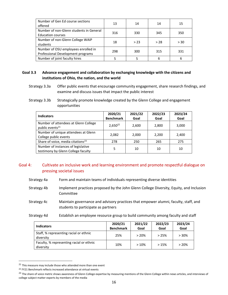| Number of Gen Ed course sections<br>offered                              | 13  | 14   | 14   | 15   |
|--------------------------------------------------------------------------|-----|------|------|------|
| Number of non-Glenn students in General<br><b>Education courses</b>      | 316 | 330  | 345  | 350  |
| Number of non-Glenn College WAIP<br>students                             | 18  | > 23 | > 28 | > 30 |
| Number of OSU employees enrolled in<br>Professional Development programs | 298 | 300  | 315  | 331  |
| Number of joint faculty hires                                            |     |      |      | 6    |

#### **Goal 3.3 Advance engagement and collaboration by exchanging knowledge with the citizens and institutions of Ohio, the nation, and the world**

Strategy 3.3b Strategically promote knowledge created by the Glenn College and engagement opportunities

| <b>Indicators</b>                             | 2020/21<br><b>Benchmark</b> | 2021/22<br>Goal | 2022/23<br>Goal | 2023/24<br>Goal |
|-----------------------------------------------|-----------------------------|-----------------|-----------------|-----------------|
| Number of attendees at Glenn College          |                             |                 |                 |                 |
| public events <sup>21</sup>                   | $2,650^{22}$                | 2,600           | 2,800           | 3,000           |
| Number of unique attendees at Glenn           | 2,082                       | 2,000           | 2,200           | 2,400           |
| College public events                         |                             |                 |                 |                 |
| Share of voice, media citations <sup>23</sup> | 278                         | 250             | 265             | 275             |
| Number of instances of legislative            |                             |                 |                 |                 |
| testimony by Glenn College faculty            | 5                           | 10              | 10              | 10              |

#### <span id="page-16-0"></span>Goal 4: Cultivate an inclusive work and learning environment and promote respectful dialogue on pressing societal issues

- Strategy 4a Form and maintain teams of individuals representing diverse identities
- Strategy 4b Implement practices proposed by the John Glenn College Diversity, Equity, and Inclusion Committee
- Strategy 4c Maintain governance and advisory practices that empower alumni, faculty, staff, and students to participate as partners
- Strategy 4d Establish an employee resource group to build community among faculty and staff

| <b>Indicators</b>                                     | 2020/21<br><b>Benchmark</b> | 2021/22<br>Goal | 2022/23<br>Goal | 2023/24<br>Goal |
|-------------------------------------------------------|-----------------------------|-----------------|-----------------|-----------------|
| Staff, % representing racial or ethnic<br>diversity   | 25%                         | >20%            | >25%            | $> 30\%$        |
| Faculty, % representing racial or ethnic<br>diversity | 10%                         | >10%            | >15%            | >20%            |

 $21$  This measure may include those who attended more than one event

Strategy 3.3a Offer public events that encourage community engagement, share research findings, and examine and discuss issues that impact the public interest

<sup>22</sup> FY21 Benchmark reflects increased attendance at virtual events

<sup>&</sup>lt;sup>23</sup> The share of voice metric shows awareness of Glenn College expertise by measuring mentions of the Glenn College within news articles, and interviews of college subject matter experts by members of the media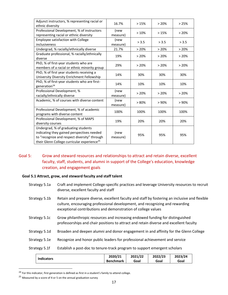| Adjunct instructors, % representing racial or<br>ethnic diversity                                                                                                                            | 16.7%            | >15%  | >20%  | >25%  |
|----------------------------------------------------------------------------------------------------------------------------------------------------------------------------------------------|------------------|-------|-------|-------|
| Professional Development, % of instructors<br>representing racial or ethnic diversity                                                                                                        | (new<br>measure) | >10%  | >15%  | >20%  |
| <b>Employee satisfaction with College</b><br>inclusiveness                                                                                                                                   | (new<br>measure) | > 3.5 | > 3.5 | > 3.5 |
| Undergrad, % racially/ethnically diverse                                                                                                                                                     | 21.7%            | >20%  | >20%  | >20%  |
| Graduate professional, % racially/ethnically<br>diverse                                                                                                                                      | 19%              | >20%  | >20%  | > 20% |
| PhD, % of first-year students who are<br>members of a racial or ethnic minority group                                                                                                        | 29%              | >20%  | >20%  | >20%  |
| PhD, % of first year students receiving a<br>University Diversity Enrichment Fellowship                                                                                                      | 14%              | 30%   | 30%   | 30%   |
| PhD, % of first-year students who are first-<br>generation <sup>24</sup>                                                                                                                     | 14%              | 10%   | 10%   | 10%   |
| Professional Development, %<br>racially/ethnically diverse                                                                                                                                   | (new<br>measure) | >20%  | >20%  | > 20% |
| Academic, % of courses with diverse content                                                                                                                                                  | (new<br>measure) | > 80% | > 90% | > 90% |
| Professional Development, % of academic<br>programs with diverse content                                                                                                                     | 100%             | 100%  | 100%  | 100%  |
| Professional Development, % of MAPS<br>diversity courses                                                                                                                                     | 19%              | 20%   | 20%   | 20%   |
| Undergrad, % of graduating students<br>indicating they gained perspectives needed<br>to "recognize and respect diversity" through<br>their Glenn College curricular experience <sup>25</sup> | (new<br>measure) | 95%   | 95%   | 95%   |

#### <span id="page-17-0"></span>Goal 5: Grow and steward resources and relationships to attract and retain diverse, excellent faculty, staff, students, and alumni in support of the College's education, knowledge creation, and engagement goals

#### **Goal 5.1 Attract, grow, and steward faculty and staff talent**

- Strategy 5.1a Craft and implement College-specific practices and leverage University resources to recruit diverse, excellent faculty and staff
- Strategy 5.1b Retain and prepare diverse, excellent faculty and staff by fostering an inclusive and flexible culture, encouraging professional development, and recognizing and rewarding exceptional contributions and demonstration of college values
- Strategy 5.1c Grow philanthropic resources and increasing endowed funding for distinguished professorships and chair positions to attract and retain diverse and excellent faculty
- Strategy 5.1d Broaden and deepen alumni and donor engagement in and affinity for the Glenn College
- Strategy 5.1e Recognize and honor public leaders for professional achievement and service

#### Strategy 5.1f Establish a post-doc to tenure-track program to support emergent scholars

|                   | 2020/21          | 2021/22 | 2022/23 | 2023/24 |
|-------------------|------------------|---------|---------|---------|
| <b>Indicators</b> | <b>Benchmark</b> | Goal    | Goal    | Goal    |

<sup>&</sup>lt;sup>24</sup> For this indicator, first generation is defined as first in a student's family to attend college.

 $25$  Measured by a score of 4 or 5 on the annual graduation survey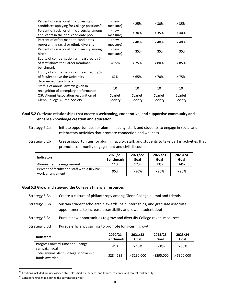| Percent of racial or ethnic diversity of                | (new     | >25%    | $>30\%$        | >35%    |
|---------------------------------------------------------|----------|---------|----------------|---------|
| candidates applying for College positions <sup>26</sup> | measure) |         |                |         |
| Percent of racial or ethnic diversity among             | (new     | >30%    | >35%           | >40%    |
| applicants in the final candidate pool                  | measure) |         |                |         |
| Percent of offers made to candidates                    | (new     | >40%    | >40%           | >40%    |
| representing racial or ethnic diversity                 | measure) |         |                |         |
| Percent of racial or ethnic diversity among             | (new     |         |                |         |
| hires $^{27}$                                           | measure) | >35%    | >35%           | >35%    |
| Equity of compensation as measured by %                 |          |         |                |         |
| of staff above the Career Roadmap                       | 78.5%    | >75%    | $>80\%$        | >85%    |
| benchmark                                               |          |         |                |         |
| Equity of compensation as measured by %                 |          |         |                |         |
| of faculty above the University-                        | 62%      | >65%    | >70%           | >75%    |
| determined benchmark                                    |          |         |                |         |
| Staff, # of annual awards given in                      |          | 10      |                | 10      |
| recognition of exemplary performance                    | 10       |         | 10             |         |
| OSU Alumni Association recognition of                   | Scarlet  | Scarlet | <b>Scarlet</b> | Scarlet |
| Glenn College Alumni Society                            | Society  | Society | Society        | Society |

**Goal 5.2 Cultivate relationships that create a welcoming, cooperative, and supportive community and enhance knowledge creation and education**

- Strategy 5.2a Initiate opportunities for alumni, faculty, staff, and students to engage in social and celebratory activities that promote connection and wellness
- Strategy 5.2b Create opportunities for alumni, faculty, staff, and students to take part in activities that promote community engagement and civil discourse

| <b>Indicators</b>                                                | 2020/21<br><b>Benchmark</b> | 2021/22<br>Goal | 2022/23<br>Goal | 2023/24<br>Goal |
|------------------------------------------------------------------|-----------------------------|-----------------|-----------------|-----------------|
| Alumni lifetime engagement                                       | 11%                         | 12%             | 13%             | 14%             |
| Percent of faculty and staff with a flexible<br>work arrangement | 95%                         | >90%            | >90%            | >90%            |

#### **Goal 5.3 Grow and steward the College's financial resources**

| Strategy 5.3a | Create a culture of philanthropy among Glenn College alumni and friends      |
|---------------|------------------------------------------------------------------------------|
| Strategy 5.3b | Sustain student scholarship awards, paid internships, and graduate associate |
|               | appointments to increase accessibility and lower student debt                |

- Strategy 5.3c Pursue new opportunities to grow and diversify College revenue sources
- Strategy 5.3d Pursue efficiency savings to promote long-term growth

| <b>Indicators</b>                                       | 2020/21<br><b>Benchmark</b> | 2021/22<br>Goal | 2022/23<br>Goal | 2023/24<br>Goal |
|---------------------------------------------------------|-----------------------------|-----------------|-----------------|-----------------|
| Progress toward Time and Change<br>campaign goal        | 41%                         | >40%            | >60%            | >80%            |
| Total annual Glenn College scholarship<br>funds awarded | \$284.289                   | $>$ \$290,000   | $>$ \$295.000   | $>$ \$300,000   |

<sup>&</sup>lt;sup>26</sup> Positions included are unclassified staff, classified civil service, and tenure, research, and clinical track faculty

<sup>&</sup>lt;sup>27</sup> Considers hires made during the current fiscal year